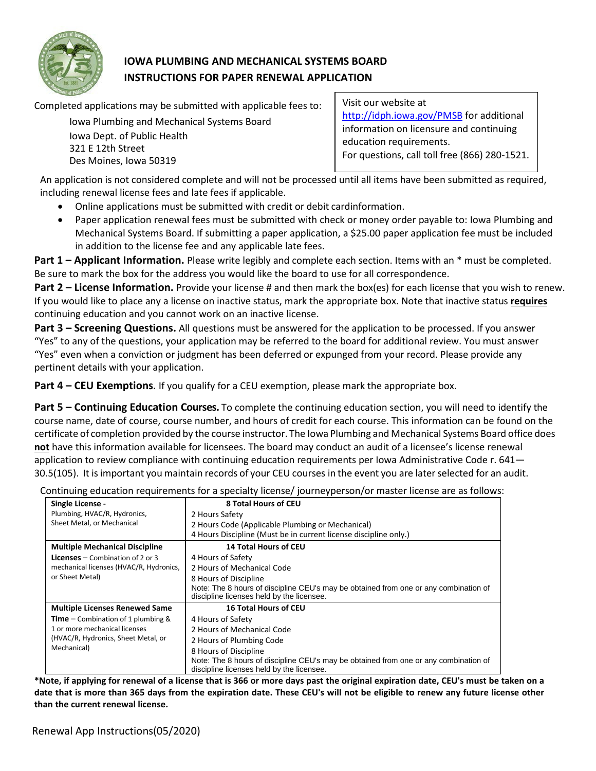

# **IOWA PLUMBING AND MECHANICAL SYSTEMS BOARD INSTRUCTIONS FOR PAPER RENEWAL APPLICATION**

Completed applications may be submitted with applicable fees to:

Iowa Plumbing and Mechanical Systems Board Iowa Dept. of Public Health 321 E 12th Street Des Moines, Iowa 50319

Visit our website at <http://idph.iowa.gov/PMSB> for additional information on licensure and continuing education requirements. For questions, call toll free (866) 280-1521.

An application is not considered complete and will not be processed until all items have been submitted as required, including renewal license fees and late fees if applicable.

- Online applications must be submitted with credit or debit cardinformation.
- Paper application renewal fees must be submitted with check or money order payable to: Iowa Plumbing and Mechanical Systems Board. If submitting a paper application, a \$25.00 paper application fee must be included in addition to the license fee and any applicable late fees.

**Part 1 – Applicant Information.** Please write legibly and complete each section. Items with an \* must be completed. Be sure to mark the box for the address you would like the board to use for all correspondence.

**Part 2 – License Information.** Provide your license # and then mark the box(es) for each license that you wish to renew. If you would like to place any a license on inactive status, mark the appropriate box. Note that inactive status **requires** continuing education and you cannot work on an inactive license.

**Part 3 – Screening Questions.** All questions must be answered for the application to be processed. If you answer "Yes" to any of the questions, your application may be referred to the board for additional review. You must answer "Yes" even when a conviction or judgment has been deferred or expunged from your record. Please provide any pertinent details with your application.

**Part 4 – CEU Exemptions**. If you qualify for a CEU exemption, please mark the appropriate box.

**Part 5 – Continuing Education Courses.** To complete the continuing education section, you will need to identify the course name, date of course, course number, and hours of credit for each course. This information can be found on the certificate of completion provided by the course instructor. The Iowa Plumbing and Mechanical Systems Board office does **not** have this information available for licensees. The board may conduct an audit of a licensee's license renewal application to review compliance with continuing education requirements per Iowa Administrative Code r. 641-30.5(105). It is important you maintain records of your CEU courses in the event you are laterselected for an audit.

| Continuing education requirements for a specialty license/ journeyperson/or master license are as follows: |  |  |  |
|------------------------------------------------------------------------------------------------------------|--|--|--|
|                                                                                                            |  |  |  |

| Single License -                             | 8 Total Hours of CEU                                                                                                              |  |  |  |  |
|----------------------------------------------|-----------------------------------------------------------------------------------------------------------------------------------|--|--|--|--|
| Plumbing, HVAC/R, Hydronics,                 | 2 Hours Safety                                                                                                                    |  |  |  |  |
| Sheet Metal, or Mechanical                   | 2 Hours Code (Applicable Plumbing or Mechanical)                                                                                  |  |  |  |  |
|                                              | 4 Hours Discipline (Must be in current license discipline only.)                                                                  |  |  |  |  |
| <b>Multiple Mechanical Discipline</b>        | <b>14 Total Hours of CEU</b>                                                                                                      |  |  |  |  |
| <b>Licenses</b> – Combination of 2 or 3      | 4 Hours of Safety                                                                                                                 |  |  |  |  |
| mechanical licenses (HVAC/R, Hydronics,      | 2 Hours of Mechanical Code                                                                                                        |  |  |  |  |
| or Sheet Metal)                              | 8 Hours of Discipline                                                                                                             |  |  |  |  |
|                                              | Note: The 8 hours of discipline CEU's may be obtained from one or any combination of<br>discipline licenses held by the licensee. |  |  |  |  |
| <b>Multiple Licenses Renewed Same</b>        | <b>16 Total Hours of CEU</b>                                                                                                      |  |  |  |  |
| <b>Time</b> – Combination of 1 plumbing $\&$ | 4 Hours of Safety                                                                                                                 |  |  |  |  |
| 1 or more mechanical licenses                | 2 Hours of Mechanical Code                                                                                                        |  |  |  |  |
| (HVAC/R, Hydronics, Sheet Metal, or          | 2 Hours of Plumbing Code                                                                                                          |  |  |  |  |
| Mechanical)                                  | 8 Hours of Discipline                                                                                                             |  |  |  |  |
|                                              | Note: The 8 hours of discipline CEU's may be obtained from one or any combination of<br>discipline licenses held by the licensee. |  |  |  |  |

**\*Note, if applying for renewal of a license that is 366 or more days past the original expiration date, CEU's must be taken on a date that is more than 365 days from the expiration date. These CEU's will not be eligible to renew any future license other than the current renewal license.**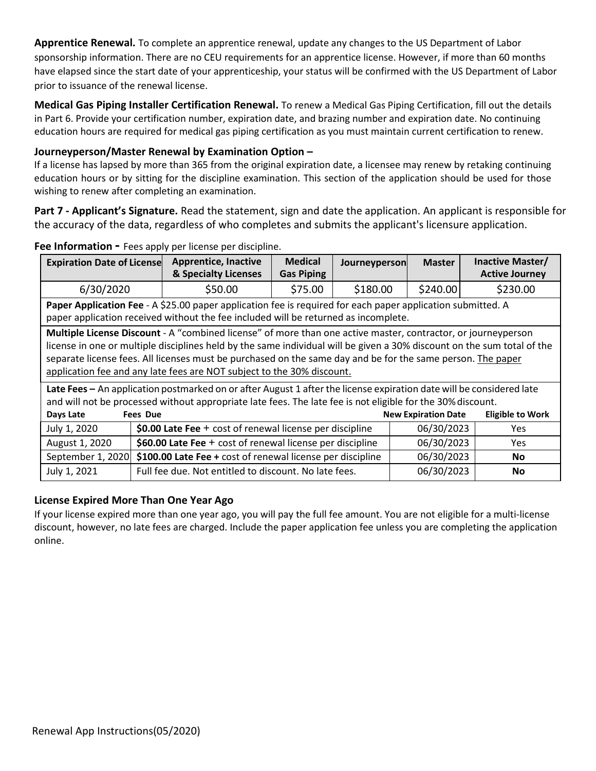**Apprentice Renewal.** To complete an apprentice renewal, update any changes to the US Department of Labor sponsorship information. There are no CEU requirements for an apprentice license. However, if more than 60 months have elapsed since the start date of your apprenticeship, your status will be confirmed with the US Department of Labor prior to issuance of the renewal license.

**Medical Gas Piping Installer Certification Renewal.** To renew a Medical Gas Piping Certification, fill out the details in Part 6. Provide your certification number, expiration date, and brazing number and expiration date. No continuing education hours are required for medical gas piping certification as you must maintain current certification to renew.

## **Journeyperson/Master Renewal by Examination Option –**

If a license has lapsed by more than 365 from the original expiration date, a licensee may renew by retaking continuing education hours or by sitting for the discipline examination. This section of the application should be used for those wishing to renew after completing an examination.

**Part 7 - Applicant's Signature.** Read the statement, sign and date the application. An applicant is responsible for the accuracy of the data, regardless of who completes and submits the applicant's licensure application.

| <b>Expiration Date of License</b>                                                                                                                                                                                                                                                                                                                                                                                                 |                                                                                | <b>Apprentice, Inactive</b><br>& Specialty Licenses                                                                                                                                                                                 | <b>Medical</b><br>Journeyperson<br><b>Gas Piping</b> |          | <b>Master</b>              | Inactive Master/<br><b>Active Journey</b> |  |  |  |
|-----------------------------------------------------------------------------------------------------------------------------------------------------------------------------------------------------------------------------------------------------------------------------------------------------------------------------------------------------------------------------------------------------------------------------------|--------------------------------------------------------------------------------|-------------------------------------------------------------------------------------------------------------------------------------------------------------------------------------------------------------------------------------|------------------------------------------------------|----------|----------------------------|-------------------------------------------|--|--|--|
| 6/30/2020                                                                                                                                                                                                                                                                                                                                                                                                                         |                                                                                | \$50.00                                                                                                                                                                                                                             | \$75.00                                              | \$180.00 | \$240.00                   | \$230.00                                  |  |  |  |
| Paper Application Fee - A \$25.00 paper application fee is required for each paper application submitted. A<br>paper application received without the fee included will be returned as incomplete.                                                                                                                                                                                                                                |                                                                                |                                                                                                                                                                                                                                     |                                                      |          |                            |                                           |  |  |  |
| Multiple License Discount - A "combined license" of more than one active master, contractor, or journeyperson<br>license in one or multiple disciplines held by the same individual will be given a 30% discount on the sum total of the<br>separate license fees. All licenses must be purchased on the same day and be for the same person. The paper<br>application fee and any late fees are NOT subject to the 30% discount. |                                                                                |                                                                                                                                                                                                                                     |                                                      |          |                            |                                           |  |  |  |
|                                                                                                                                                                                                                                                                                                                                                                                                                                   |                                                                                | Late Fees - An application postmarked on or after August 1 after the license expiration date will be considered late<br>and will not be processed without appropriate late fees. The late fee is not eligible for the 30% discount. |                                                      |          |                            |                                           |  |  |  |
| Days Late                                                                                                                                                                                                                                                                                                                                                                                                                         | <b>Fees Due</b>                                                                |                                                                                                                                                                                                                                     |                                                      |          | <b>New Expiration Date</b> | <b>Eligible to Work</b>                   |  |  |  |
| \$0.00 Late Fee $+$ cost of renewal license per discipline<br>July 1, 2020<br>06/30/2023<br>Yes.                                                                                                                                                                                                                                                                                                                                  |                                                                                |                                                                                                                                                                                                                                     |                                                      |          |                            |                                           |  |  |  |
| August 1, 2020                                                                                                                                                                                                                                                                                                                                                                                                                    | \$60.00 Late Fee + cost of renewal license per discipline<br>06/30/2023<br>Yes |                                                                                                                                                                                                                                     |                                                      |          |                            |                                           |  |  |  |
| September 1, 2020                                                                                                                                                                                                                                                                                                                                                                                                                 |                                                                                | \$100.00 Late Fee + cost of renewal license per discipline<br>06/30/2023                                                                                                                                                            |                                                      |          |                            |                                           |  |  |  |
| July 1, 2021                                                                                                                                                                                                                                                                                                                                                                                                                      |                                                                                | Full fee due. Not entitled to discount. No late fees.                                                                                                                                                                               |                                                      |          | 06/30/2023                 | <b>No</b>                                 |  |  |  |

#### **Fee Information -** Fees apply per license per discipline.

## **License Expired More Than One Year Ago**

If your license expired more than one year ago, you will pay the full fee amount. You are not eligible for a multi-license discount, however, no late fees are charged. Include the paper application fee unless you are completing the application online.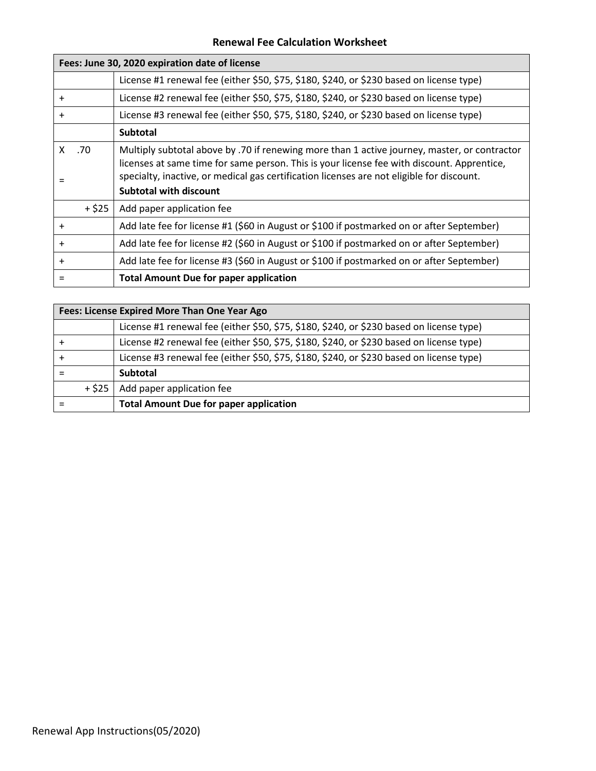#### **Renewal Fee Calculation Worksheet**

|           |         | Fees: June 30, 2020 expiration date of license                                                                                                                                                                                                                                                                           |
|-----------|---------|--------------------------------------------------------------------------------------------------------------------------------------------------------------------------------------------------------------------------------------------------------------------------------------------------------------------------|
|           |         | License #1 renewal fee (either \$50, \$75, \$180, \$240, or \$230 based on license type)                                                                                                                                                                                                                                 |
| $\ddot{}$ |         | License #2 renewal fee (either \$50, \$75, \$180, \$240, or \$230 based on license type)                                                                                                                                                                                                                                 |
| $\ddot{}$ |         | License #3 renewal fee (either \$50, \$75, \$180, \$240, or \$230 based on license type)                                                                                                                                                                                                                                 |
|           |         | <b>Subtotal</b>                                                                                                                                                                                                                                                                                                          |
|           | $X$ .70 | Multiply subtotal above by .70 if renewing more than 1 active journey, master, or contractor<br>licenses at same time for same person. This is your license fee with discount. Apprentice,<br>specialty, inactive, or medical gas certification licenses are not eligible for discount.<br><b>Subtotal with discount</b> |
|           | $+ $25$ | Add paper application fee                                                                                                                                                                                                                                                                                                |
| $\ddot{}$ |         | Add late fee for license #1 (\$60 in August or \$100 if postmarked on or after September)                                                                                                                                                                                                                                |
| $\ddot{}$ |         | Add late fee for license #2 (\$60 in August or \$100 if postmarked on or after September)                                                                                                                                                                                                                                |
| $\ddot{}$ |         | Add late fee for license #3 (\$60 in August or \$100 if postmarked on or after September)                                                                                                                                                                                                                                |
|           |         | <b>Total Amount Due for paper application</b>                                                                                                                                                                                                                                                                            |

|        | Fees: License Expired More Than One Year Ago                                             |  |  |  |  |  |  |
|--------|------------------------------------------------------------------------------------------|--|--|--|--|--|--|
|        | License #1 renewal fee (either \$50, \$75, \$180, \$240, or \$230 based on license type) |  |  |  |  |  |  |
|        | License #2 renewal fee (either \$50, \$75, \$180, \$240, or \$230 based on license type) |  |  |  |  |  |  |
|        | License #3 renewal fee (either \$50, \$75, \$180, \$240, or \$230 based on license type) |  |  |  |  |  |  |
|        | <b>Subtotal</b>                                                                          |  |  |  |  |  |  |
| + \$25 | Add paper application fee                                                                |  |  |  |  |  |  |
|        | <b>Total Amount Due for paper application</b>                                            |  |  |  |  |  |  |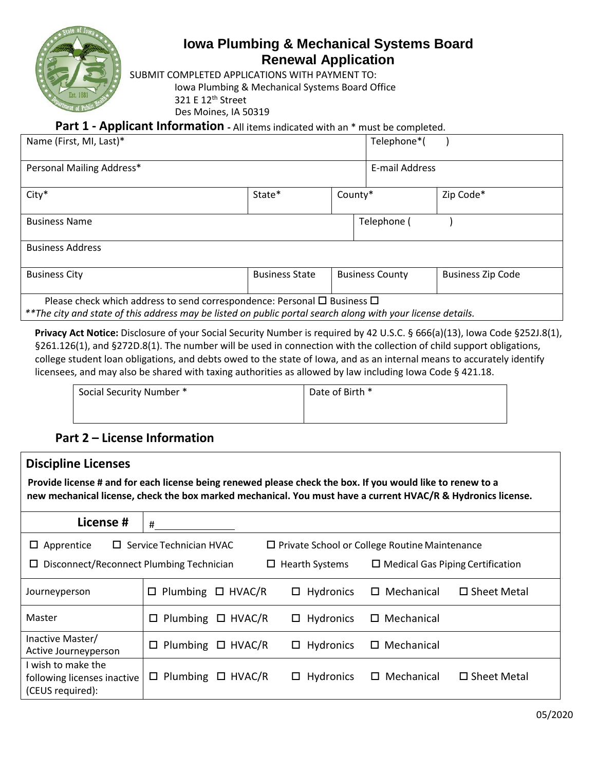

# **Iowa Plumbing & Mechanical Systems Board Renewal Application**

SUBMIT COMPLETED APPLICATIONS WITH PAYMENT TO:

Iowa Plumbing & Mechanical Systems Board Office

321 E 12th Street

Des Moines, IA 50319

**Part 1 - Applicant Information -** All items indicated with an \* must be completed.

| Name (First, MI, Last)*                                                                                                                                                                           |                       |         | Telephone*(            |                          |
|---------------------------------------------------------------------------------------------------------------------------------------------------------------------------------------------------|-----------------------|---------|------------------------|--------------------------|
| Personal Mailing Address*                                                                                                                                                                         |                       |         | E-mail Address         |                          |
| $City*$                                                                                                                                                                                           | State*                | County* |                        | Zip Code*                |
| <b>Business Name</b>                                                                                                                                                                              |                       |         | Telephone (            |                          |
| <b>Business Address</b>                                                                                                                                                                           |                       |         |                        |                          |
| <b>Business City</b>                                                                                                                                                                              | <b>Business State</b> |         | <b>Business County</b> | <b>Business Zip Code</b> |
| Please check which address to send correspondence: Personal $\Box$ Business $\Box$<br>**The city and state of this address may be listed on public portal search along with your license details. |                       |         |                        |                          |

**Privacy Act Notice:** Disclosure of your Social Security Number is required by 42 U.S.C. § 666(a)(13), Iowa Code §252J.8(1), §261.126(1), and §272D.8(1). The number will be used in connection with the collection of child support obligations, college student loan obligations, and debts owed to the state of Iowa, and as an internal means to accurately identify licensees, and may also be shared with taxing authorities as allowed by law including Iowa Code § 421.18.

| Social Security Number * | Date of Birth * |
|--------------------------|-----------------|
|                          |                 |

# **Part 2 – License Information**

| <b>Discipline Licenses</b><br>Provide license # and for each license being renewed please check the box. If you would like to renew to a<br>new mechanical license, check the box marked mechanical. You must have a current HVAC/R & Hydronics license. |                                  |                                                      |                      |                       |  |  |  |  |  |  |
|----------------------------------------------------------------------------------------------------------------------------------------------------------------------------------------------------------------------------------------------------------|----------------------------------|------------------------------------------------------|----------------------|-----------------------|--|--|--|--|--|--|
| License #                                                                                                                                                                                                                                                | #                                |                                                      |                      |                       |  |  |  |  |  |  |
| $\Box$ Apprentice                                                                                                                                                                                                                                        | $\Box$ Service Technician HVAC   | $\Box$ Private School or College Routine Maintenance |                      |                       |  |  |  |  |  |  |
| Disconnect/Reconnect Plumbing Technician<br>$\Box$ Hearth Systems<br>$\Box$ Medical Gas Piping Certification<br>ப                                                                                                                                        |                                  |                                                      |                      |                       |  |  |  |  |  |  |
| Journeyperson                                                                                                                                                                                                                                            | $\Box$ Plumbing<br>$\Box$ HVAC/R | Hydronics<br>□                                       | Mechanical           | $\Box$ Sheet Metal    |  |  |  |  |  |  |
| Master                                                                                                                                                                                                                                                   | Plumbing<br>$\Box$ HVAC/R<br>□   | $\Box$ Hydronics                                     | $\square$ Mechanical |                       |  |  |  |  |  |  |
| Inactive Master/<br>Active Journeyperson                                                                                                                                                                                                                 | Plumbing<br>$\Box$ HVAC/R<br>□   | $\Box$ Hydronics                                     | $\square$ Mechanical |                       |  |  |  |  |  |  |
| I wish to make the<br>following licenses inactive<br>(CEUS required):                                                                                                                                                                                    | $\Box$ Plumbing<br>$\Box$ HVAC/R | Hydronics<br>□                                       | Mechanical<br>□      | $\square$ Sheet Metal |  |  |  |  |  |  |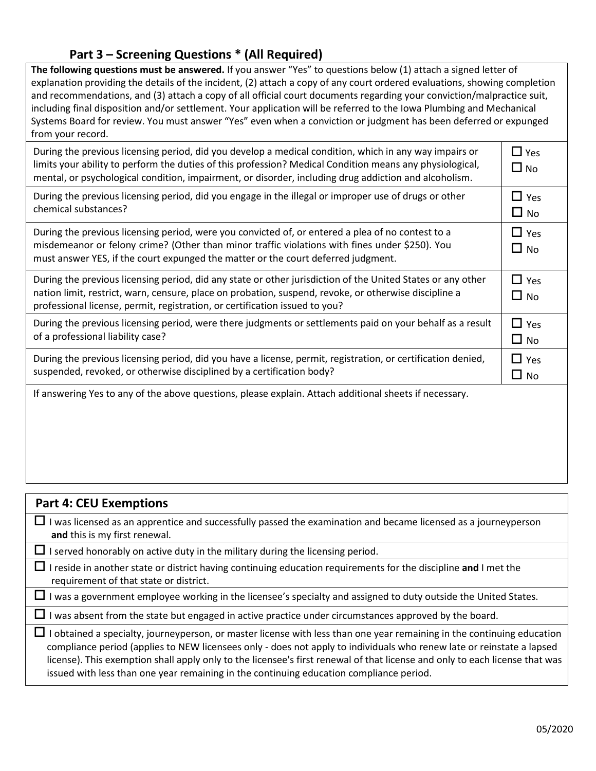## **Part 3 – Screening Questions \* (All Required)**

**The following questions must be answered.** If you answer "Yes" to questions below (1) attach a signed letter of explanation providing the details of the incident, (2) attach a copy of any court ordered evaluations, showing completion and recommendations, and (3) attach a copy of all official court documents regarding your conviction/malpractice suit, including final disposition and/or settlement. Your application will be referred to the Iowa Plumbing and Mechanical Systems Board for review. You must answer "Yes" even when a conviction or judgment has been deferred or expunged from your record.

| During the previous licensing period, did you develop a medical condition, which in any way impairs or<br>limits your ability to perform the duties of this profession? Medical Condition means any physiological,<br>mental, or psychological condition, impairment, or disorder, including drug addiction and alcoholism. | $\Box$ Yes<br>$\Box$ No |
|-----------------------------------------------------------------------------------------------------------------------------------------------------------------------------------------------------------------------------------------------------------------------------------------------------------------------------|-------------------------|
| During the previous licensing period, did you engage in the illegal or improper use of drugs or other<br>chemical substances?                                                                                                                                                                                               | $\Box$ Yes<br>$\Box$ No |
| During the previous licensing period, were you convicted of, or entered a plea of no contest to a<br>misdemeanor or felony crime? (Other than minor traffic violations with fines under \$250). You<br>must answer YES, if the court expunged the matter or the court deferred judgment.                                    | $\Box$ Yes<br>$\Box$ No |
| During the previous licensing period, did any state or other jurisdiction of the United States or any other<br>nation limit, restrict, warn, censure, place on probation, suspend, revoke, or otherwise discipline a<br>professional license, permit, registration, or certification issued to you?                         | $\Box$ Yes<br>$\Box$ No |
| During the previous licensing period, were there judgments or settlements paid on your behalf as a result<br>of a professional liability case?                                                                                                                                                                              | $\Box$ Yes<br>$\Box$ No |
| During the previous licensing period, did you have a license, permit, registration, or certification denied,<br>suspended, revoked, or otherwise disciplined by a certification body?                                                                                                                                       | $\Box$ Yes<br>$\Box$ No |
| If answering Yes to any of the above questions, please explain. Attach additional sheets if necessary.                                                                                                                                                                                                                      |                         |

| <b>Part 4: CEU Exemptions</b>                                                                                                                                                                                                                                                                                                                                                                                                                                             |
|---------------------------------------------------------------------------------------------------------------------------------------------------------------------------------------------------------------------------------------------------------------------------------------------------------------------------------------------------------------------------------------------------------------------------------------------------------------------------|
| I was licensed as an apprentice and successfully passed the examination and became licensed as a journeyperson<br>ப<br>and this is my first renewal.                                                                                                                                                                                                                                                                                                                      |
| $\Box$ I served honorably on active duty in the military during the licensing period.                                                                                                                                                                                                                                                                                                                                                                                     |
| I reside in another state or district having continuing education requirements for the discipline and I met the<br>ப<br>requirement of that state or district.                                                                                                                                                                                                                                                                                                            |
| I was a government employee working in the licensee's specialty and assigned to duty outside the United States.                                                                                                                                                                                                                                                                                                                                                           |
| $\Box$ I was absent from the state but engaged in active practice under circumstances approved by the board.                                                                                                                                                                                                                                                                                                                                                              |
| I obtained a specialty, journeyperson, or master license with less than one year remaining in the continuing education<br>compliance period (applies to NEW licensees only - does not apply to individuals who renew late or reinstate a lapsed<br>license). This exemption shall apply only to the licensee's first renewal of that license and only to each license that was<br>issued with less than one year remaining in the continuing education compliance period. |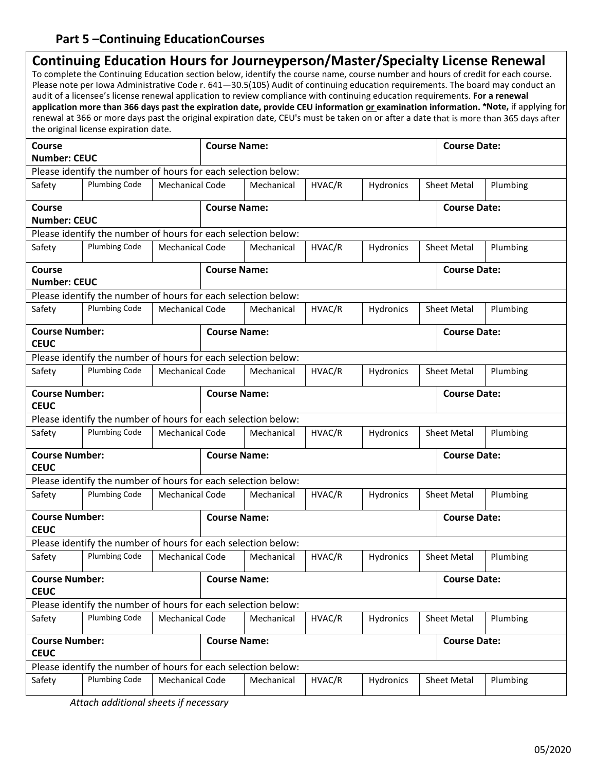# **Part 5 –Continuing EducationCourses**

|                                      | Continuing Education Hours for Journeyperson/Master/Specialty License Renewal<br>To complete the Continuing Education section below, identify the course name, course number and hours of credit for each course.<br>audit of a licensee's license renewal application to review compliance with continuing education requirements. For a renewal<br>the original license expiration date. |                        |                                            |            |        |           |  |                     | Please note per Iowa Administrative Code r. 641-30.5(105) Audit of continuing education requirements. The board may conduct an<br>application more than 366 days past the expiration date, provide CEU information or examination information. *Note, if applying for<br>renewal at 366 or more days past the original expiration date, CEU's must be taken on or after a date that is more than 365 days after |
|--------------------------------------|--------------------------------------------------------------------------------------------------------------------------------------------------------------------------------------------------------------------------------------------------------------------------------------------------------------------------------------------------------------------------------------------|------------------------|--------------------------------------------|------------|--------|-----------|--|---------------------|-----------------------------------------------------------------------------------------------------------------------------------------------------------------------------------------------------------------------------------------------------------------------------------------------------------------------------------------------------------------------------------------------------------------|
| <b>Course</b><br><b>Number: CEUC</b> |                                                                                                                                                                                                                                                                                                                                                                                            |                        | <b>Course Name:</b>                        |            |        |           |  | <b>Course Date:</b> |                                                                                                                                                                                                                                                                                                                                                                                                                 |
|                                      | Please identify the number of hours for each selection below:                                                                                                                                                                                                                                                                                                                              |                        |                                            |            |        |           |  |                     |                                                                                                                                                                                                                                                                                                                                                                                                                 |
| Safety                               | <b>Plumbing Code</b>                                                                                                                                                                                                                                                                                                                                                                       | <b>Mechanical Code</b> |                                            | Mechanical | HVAC/R | Hydronics |  | <b>Sheet Metal</b>  | Plumbing                                                                                                                                                                                                                                                                                                                                                                                                        |
| <b>Course</b>                        |                                                                                                                                                                                                                                                                                                                                                                                            |                        | <b>Course Name:</b>                        |            |        |           |  | <b>Course Date:</b> |                                                                                                                                                                                                                                                                                                                                                                                                                 |
| <b>Number: CEUC</b>                  |                                                                                                                                                                                                                                                                                                                                                                                            |                        |                                            |            |        |           |  |                     |                                                                                                                                                                                                                                                                                                                                                                                                                 |
|                                      | Please identify the number of hours for each selection below:                                                                                                                                                                                                                                                                                                                              |                        |                                            |            |        |           |  |                     |                                                                                                                                                                                                                                                                                                                                                                                                                 |
| Safety                               | <b>Plumbing Code</b>                                                                                                                                                                                                                                                                                                                                                                       | <b>Mechanical Code</b> |                                            | Mechanical | HVAC/R | Hydronics |  | <b>Sheet Metal</b>  | Plumbing                                                                                                                                                                                                                                                                                                                                                                                                        |
| <b>Course</b><br><b>Number: CEUC</b> |                                                                                                                                                                                                                                                                                                                                                                                            |                        | <b>Course Name:</b>                        |            |        |           |  | <b>Course Date:</b> |                                                                                                                                                                                                                                                                                                                                                                                                                 |
|                                      | Please identify the number of hours for each selection below:                                                                                                                                                                                                                                                                                                                              |                        |                                            |            |        |           |  |                     |                                                                                                                                                                                                                                                                                                                                                                                                                 |
| Safety                               | <b>Plumbing Code</b>                                                                                                                                                                                                                                                                                                                                                                       | <b>Mechanical Code</b> |                                            | Mechanical | HVAC/R | Hydronics |  | <b>Sheet Metal</b>  | Plumbing                                                                                                                                                                                                                                                                                                                                                                                                        |
| <b>Course Number:</b><br><b>CEUC</b> |                                                                                                                                                                                                                                                                                                                                                                                            |                        | <b>Course Name:</b>                        |            |        |           |  | <b>Course Date:</b> |                                                                                                                                                                                                                                                                                                                                                                                                                 |
|                                      | Please identify the number of hours for each selection below:                                                                                                                                                                                                                                                                                                                              |                        |                                            |            |        |           |  |                     |                                                                                                                                                                                                                                                                                                                                                                                                                 |
| Safety                               | <b>Plumbing Code</b>                                                                                                                                                                                                                                                                                                                                                                       | <b>Mechanical Code</b> |                                            | Mechanical | HVAC/R | Hydronics |  | <b>Sheet Metal</b>  | Plumbing                                                                                                                                                                                                                                                                                                                                                                                                        |
| <b>Course Number:</b><br><b>CEUC</b> |                                                                                                                                                                                                                                                                                                                                                                                            |                        | <b>Course Name:</b><br><b>Course Date:</b> |            |        |           |  |                     |                                                                                                                                                                                                                                                                                                                                                                                                                 |
|                                      | Please identify the number of hours for each selection below:                                                                                                                                                                                                                                                                                                                              |                        |                                            |            |        |           |  |                     |                                                                                                                                                                                                                                                                                                                                                                                                                 |
| Safety                               | <b>Plumbing Code</b>                                                                                                                                                                                                                                                                                                                                                                       | <b>Mechanical Code</b> |                                            | Mechanical | HVAC/R | Hydronics |  | <b>Sheet Metal</b>  | Plumbing                                                                                                                                                                                                                                                                                                                                                                                                        |
| <b>Course Number:</b><br><b>CEUC</b> |                                                                                                                                                                                                                                                                                                                                                                                            |                        | <b>Course Name:</b>                        |            |        |           |  | <b>Course Date:</b> |                                                                                                                                                                                                                                                                                                                                                                                                                 |
|                                      | Please identify the number of hours for each selection below:                                                                                                                                                                                                                                                                                                                              |                        |                                            |            |        |           |  |                     |                                                                                                                                                                                                                                                                                                                                                                                                                 |
| Safety                               | <b>Plumbing Code</b>                                                                                                                                                                                                                                                                                                                                                                       | <b>Mechanical Code</b> |                                            | Mechanical | HVAC/R | Hydronics |  | <b>Sheet Metal</b>  | Plumbing                                                                                                                                                                                                                                                                                                                                                                                                        |
| <b>Course Number:</b><br><b>CEUC</b> |                                                                                                                                                                                                                                                                                                                                                                                            |                        | <b>Course Name:</b>                        |            |        |           |  | <b>Course Date:</b> |                                                                                                                                                                                                                                                                                                                                                                                                                 |
|                                      | Please identify the number of hours for each selection below:                                                                                                                                                                                                                                                                                                                              |                        |                                            |            |        |           |  |                     |                                                                                                                                                                                                                                                                                                                                                                                                                 |
| Safety                               | <b>Plumbing Code</b>                                                                                                                                                                                                                                                                                                                                                                       | <b>Mechanical Code</b> |                                            | Mechanical | HVAC/R | Hydronics |  | <b>Sheet Metal</b>  | Plumbing                                                                                                                                                                                                                                                                                                                                                                                                        |
| <b>Course Number:</b><br><b>CEUC</b> |                                                                                                                                                                                                                                                                                                                                                                                            |                        | <b>Course Name:</b>                        |            |        |           |  | <b>Course Date:</b> |                                                                                                                                                                                                                                                                                                                                                                                                                 |
|                                      | Please identify the number of hours for each selection below:                                                                                                                                                                                                                                                                                                                              |                        |                                            |            |        |           |  |                     |                                                                                                                                                                                                                                                                                                                                                                                                                 |
| Safety                               | <b>Plumbing Code</b>                                                                                                                                                                                                                                                                                                                                                                       | <b>Mechanical Code</b> |                                            | Mechanical | HVAC/R | Hydronics |  | <b>Sheet Metal</b>  | Plumbing                                                                                                                                                                                                                                                                                                                                                                                                        |
| <b>Course Number:</b><br><b>CEUC</b> |                                                                                                                                                                                                                                                                                                                                                                                            |                        | <b>Course Name:</b>                        |            |        |           |  | <b>Course Date:</b> |                                                                                                                                                                                                                                                                                                                                                                                                                 |
|                                      | Please identify the number of hours for each selection below:                                                                                                                                                                                                                                                                                                                              |                        |                                            |            |        |           |  |                     |                                                                                                                                                                                                                                                                                                                                                                                                                 |
| Safety                               | <b>Plumbing Code</b>                                                                                                                                                                                                                                                                                                                                                                       | <b>Mechanical Code</b> |                                            | Mechanical | HVAC/R | Hydronics |  | Sheet Metal         | Plumbing                                                                                                                                                                                                                                                                                                                                                                                                        |

*Attach additional sheets if necessary*